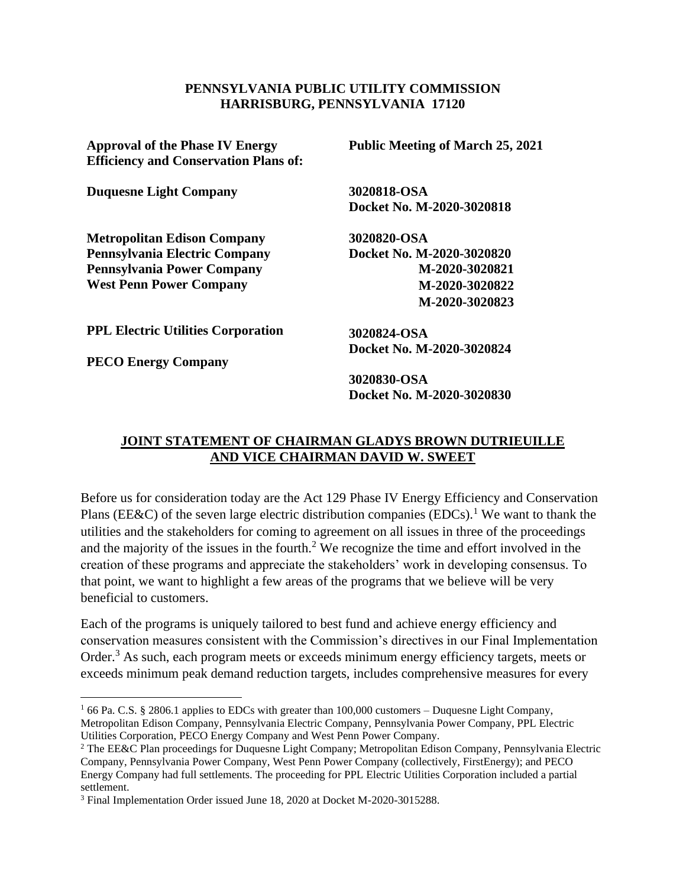## **PENNSYLVANIA PUBLIC UTILITY COMMISSION HARRISBURG, PENNSYLVANIA 17120**

**Approval of the Phase IV Energy Efficiency and Conservation Plans of:**

**Duquesne Light Company**

**Metropolitan Edison Company Pennsylvania Electric Company Pennsylvania Power Company West Penn Power Company**

**Public Meeting of March 25, 2021**

**3020818-OSA Docket No. M-2020-3020818**

**3020820-OSA Docket No. M-2020-3020820 M-2020-3020821 M-2020-3020822 M-2020-3020823**

**PPL Electric Utilities Corporation**

**PECO Energy Company**

**3020824-OSA Docket No. M-2020-3020824**

**3020830-OSA Docket No. M-2020-3020830**

## **JOINT STATEMENT OF CHAIRMAN GLADYS BROWN DUTRIEUILLE AND VICE CHAIRMAN DAVID W. SWEET**

Before us for consideration today are the Act 129 Phase IV Energy Efficiency and Conservation Plans (EE&C) of the seven large electric distribution companies (EDCs).<sup>1</sup> We want to thank the utilities and the stakeholders for coming to agreement on all issues in three of the proceedings and the majority of the issues in the fourth.<sup>2</sup> We recognize the time and effort involved in the creation of these programs and appreciate the stakeholders' work in developing consensus. To that point, we want to highlight a few areas of the programs that we believe will be very beneficial to customers.

Each of the programs is uniquely tailored to best fund and achieve energy efficiency and conservation measures consistent with the Commission's directives in our Final Implementation Order.<sup>3</sup> As such, each program meets or exceeds minimum energy efficiency targets, meets or exceeds minimum peak demand reduction targets, includes comprehensive measures for every

<sup>&</sup>lt;sup>1</sup> 66 Pa. C.S. § 2806.1 applies to EDCs with greater than 100,000 customers – Duquesne Light Company, Metropolitan Edison Company, Pennsylvania Electric Company, Pennsylvania Power Company, PPL Electric Utilities Corporation, PECO Energy Company and West Penn Power Company.

<sup>2</sup> The EE&C Plan proceedings for Duquesne Light Company; Metropolitan Edison Company, Pennsylvania Electric Company, Pennsylvania Power Company, West Penn Power Company (collectively, FirstEnergy); and PECO Energy Company had full settlements. The proceeding for PPL Electric Utilities Corporation included a partial settlement.

<sup>3</sup> Final Implementation Order issued June 18, 2020 at Docket M-2020-3015288.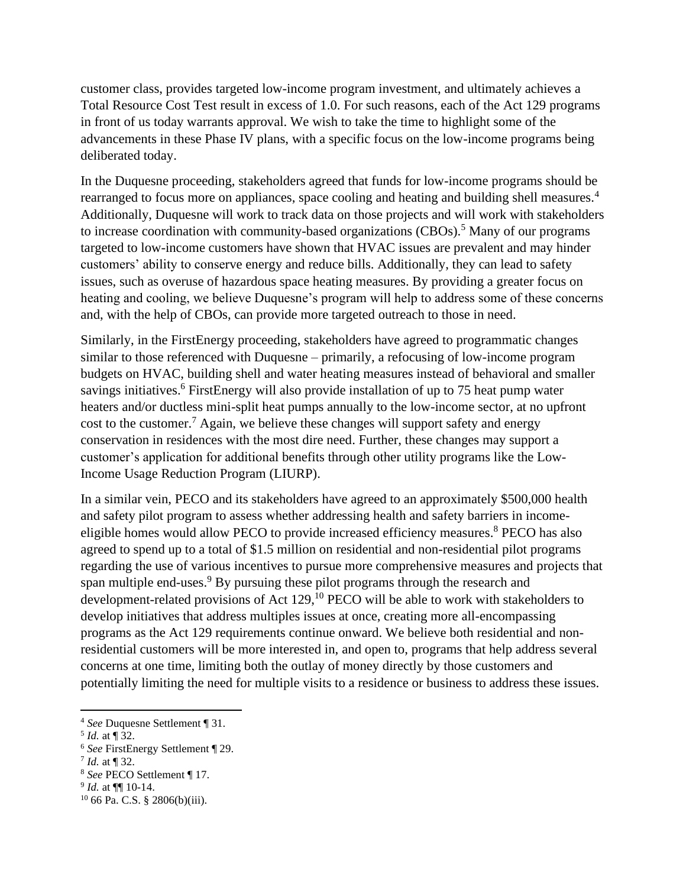customer class, provides targeted low-income program investment, and ultimately achieves a Total Resource Cost Test result in excess of 1.0. For such reasons, each of the Act 129 programs in front of us today warrants approval. We wish to take the time to highlight some of the advancements in these Phase IV plans, with a specific focus on the low-income programs being deliberated today.

In the Duquesne proceeding, stakeholders agreed that funds for low-income programs should be rearranged to focus more on appliances, space cooling and heating and building shell measures.<sup>4</sup> Additionally, Duquesne will work to track data on those projects and will work with stakeholders to increase coordination with community-based organizations (CBOs).<sup>5</sup> Many of our programs targeted to low-income customers have shown that HVAC issues are prevalent and may hinder customers' ability to conserve energy and reduce bills. Additionally, they can lead to safety issues, such as overuse of hazardous space heating measures. By providing a greater focus on heating and cooling, we believe Duquesne's program will help to address some of these concerns and, with the help of CBOs, can provide more targeted outreach to those in need.

Similarly, in the FirstEnergy proceeding, stakeholders have agreed to programmatic changes similar to those referenced with Duquesne – primarily, a refocusing of low-income program budgets on HVAC, building shell and water heating measures instead of behavioral and smaller savings initiatives.<sup>6</sup> FirstEnergy will also provide installation of up to 75 heat pump water heaters and/or ductless mini-split heat pumps annually to the low-income sector, at no upfront cost to the customer.<sup>7</sup> Again, we believe these changes will support safety and energy conservation in residences with the most dire need. Further, these changes may support a customer's application for additional benefits through other utility programs like the Low-Income Usage Reduction Program (LIURP).

In a similar vein, PECO and its stakeholders have agreed to an approximately \$500,000 health and safety pilot program to assess whether addressing health and safety barriers in incomeeligible homes would allow PECO to provide increased efficiency measures.<sup>8</sup> PECO has also agreed to spend up to a total of \$1.5 million on residential and non-residential pilot programs regarding the use of various incentives to pursue more comprehensive measures and projects that span multiple end-uses.<sup>9</sup> By pursuing these pilot programs through the research and development-related provisions of Act  $129$ ,  $^{10}$  PECO will be able to work with stakeholders to develop initiatives that address multiples issues at once, creating more all-encompassing programs as the Act 129 requirements continue onward. We believe both residential and nonresidential customers will be more interested in, and open to, programs that help address several concerns at one time, limiting both the outlay of money directly by those customers and potentially limiting the need for multiple visits to a residence or business to address these issues.

<sup>4</sup> *See* Duquesne Settlement ¶ 31.

<sup>5</sup> *Id.* at ¶ 32.

<sup>6</sup> *See* FirstEnergy Settlement ¶ 29.

 $^{7}$  *Id.* at ¶ 32.

<sup>8</sup> *See* PECO Settlement ¶ 17.

<sup>9</sup> *Id.* at ¶¶ 10-14.

<sup>10</sup> 66 Pa. C.S. § 2806(b)(iii).